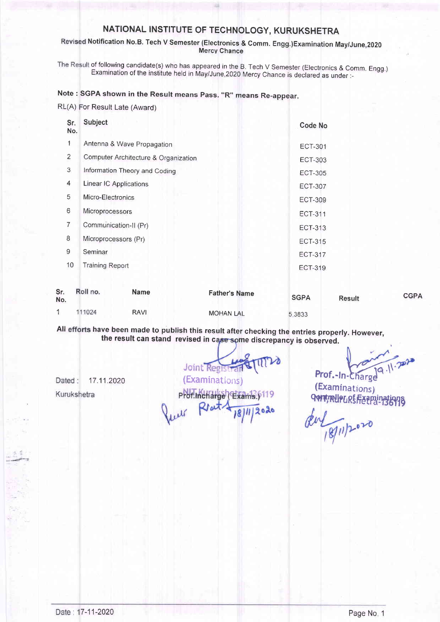#### Revised Notification No.B. Tech V Semester (Electronics & Comm. Engg.)Examination May/June,2020 Mercy Chance

The Result of following candidate(s) who has appeared in the B. Tech V Semester (Electronics & Comm. Engg.) Examination of the institute held in May/June,2020 Mercy Chance is declared as under :-

### Note : SGPA shown in the Result means Pass. "R" means Re-appear

| RL(A) For Result Late (Award) |  |  |  |  |
|-------------------------------|--|--|--|--|
|-------------------------------|--|--|--|--|

RAVI

1

Dated:

Kurukshetra

111024

| Sr.<br>No.     | <b>Subject</b>                       | Code No                             |   |
|----------------|--------------------------------------|-------------------------------------|---|
| 1              | Antenna & Wave Propagation           | <b>ECT-301</b>                      |   |
| $\overline{2}$ | Computer Architecture & Organization | ECT-303                             |   |
| 3              | Information Theory and Coding        | <b>ECT-305</b>                      |   |
| 4              | Linear IC Applications               | <b>ECT-307</b>                      |   |
| 5              | Micro-Electronics                    | <b>ECT-309</b>                      |   |
| 6              | <b>Microprocessors</b>               | <b>ECT-311</b>                      |   |
| $\overline{7}$ | Communication-II (Pr)                | ECT-313                             |   |
| 8              | Microprocessors (Pr)                 | <b>ECT-315</b>                      |   |
| 9              | Seminar                              | <b>ECT-317</b>                      |   |
| 10             | <b>Training Report</b>               | <b>ECT-319</b>                      |   |
| Sr.<br>No.     | Roll no.<br><b>Name</b>              | <b>Father's Name</b><br><b>SGPA</b> | R |

esult

5 3833

CGPA

All efforts have been made to publish this result after checking the entries properly. However,<br>the result can stand revised in case some discrepancy is observed.

**MOHAN LAL** 

 $\frac{1}{2}$  Joint Registrants (1998)<br>17.11.2020 (Examinations) Prof.Incharge (Exams.) Rtat!

 $(Examination)$ Quit, Rue LRS Ferninations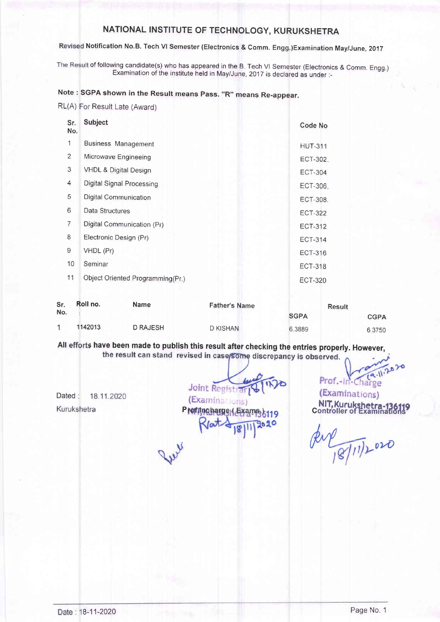# Revised Notification No.B. Tech VI Semester (Electronics & Comm. Engg.)Examination May/June, 2017

The Result of following candidate(s) who has appeared in the B. Tech VI Semester (Electronics & Comm. Engg.) Examination of the institute held in May/June, zo17 is declared as under:-

## Note : SGPA shown in the Result means Pass. "R" means Re-appear.

RL(A) For Result Late (Award)

| Sr.<br>No.     | <b>Subject</b>                   | Code No        |
|----------------|----------------------------------|----------------|
| 1              | <b>Business Management</b>       | <b>HUT-311</b> |
| 2              | Microwave Engineeing             | ECT-302.       |
| 3              | <b>VHDL &amp; Digital Design</b> | <b>ECT-304</b> |
| $\overline{4}$ | <b>Digital Signal Processing</b> | ECT-306.       |
| 5              | <b>Digital Communication</b>     | ECT-308.       |
| 6              | Data Structures                  | <b>ECT-322</b> |
| 7              | Digital Communication (Pr)       | <b>ECT-312</b> |
| 8              | Electronic Design (Pr)           | <b>ECT-314</b> |
| 9              | VHDL (Pr)                        | ECT-316        |
| 10             | Seminar                          | <b>ECT-318</b> |
| 11             | Object Oriented Programming(Pr.) | <b>ECT-320</b> |

| Sr. | Roll no. | <b>Name</b>     | <b>Father's Name</b> |             | <b>Result</b> |
|-----|----------|-----------------|----------------------|-------------|---------------|
| No. |          |                 |                      | <b>SGPA</b> | <b>CGPA</b>   |
|     | 1142013  | <b>D RAJESH</b> | D KISHAN             | 6.3889      | 6.3750        |

All efforts have been made to publish this result after checking the entries properly. However,

Dated: 18.11.2020 Kurukshetra

Joint Registrar PRIT RESISTENT VOLTET (Examinations)<br>
(Examinations) NIT, Kurukshetra-136119<br>
PRIT Rundbarge (Examinations) Controller of Examinations

Prof.-In-Charge

 $\frac{18}{10^{11}}$  020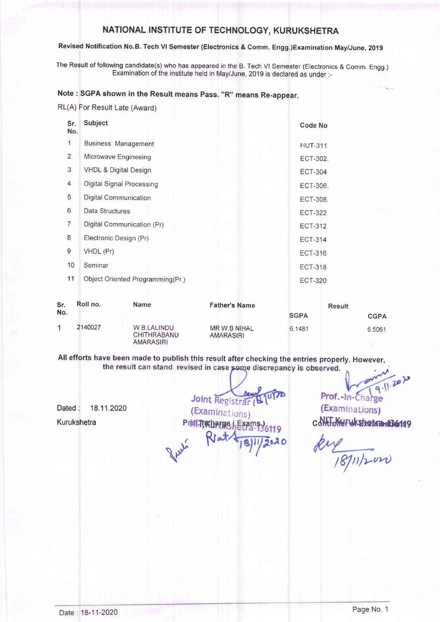## Revised Notification No.B. Tech Vl Semester (Electronics & Comm. Engg.)Examination May/June, 2019

The Result of following candidate(s) who has appeared in the B. Tech Vl Semester (Electronics & Comm. Engg.) Examination of the institute held in May/June,2019 is declared as under:-

## Note : SGPA shown in the Result means Pass. "R" means Re-appear.

RL(A) For Result Late (Award)

| Sr.<br>No.          | Subject                          |                      | <b>Code No</b> |
|---------------------|----------------------------------|----------------------|----------------|
| 1                   | <b>Business Management</b>       |                      | <b>HUT-311</b> |
| $\overline{2}$      | Microwave Engineeing             |                      | ECT-302.       |
| 3                   | <b>VHDL &amp; Digital Design</b> |                      | <b>ECT-304</b> |
| 4                   | Digital Signal Processing        |                      | ECT-306.       |
| 5                   | Digital Communication            |                      | ECT-308.       |
| 6                   | Data Structures                  |                      | <b>ECT-322</b> |
| 7                   | Digital Communication (Pr)       |                      | <b>ECT-312</b> |
| 8                   | Electronic Design (Pr)           |                      | <b>ECT-314</b> |
| 9                   | VHDL (Pr)                        |                      | <b>ECT-316</b> |
| 10                  | Seminar                          |                      | <b>ECT-318</b> |
| 11                  | Object Oriented Programming(Pr.) |                      | <b>ECT-320</b> |
| Sr.<br>$N_{\Omega}$ | Roll no.<br>Name                 | <b>Father's Name</b> | <b>Result</b>  |

| --- | .       | .                                              | סוווסרו סיומוווכ          |             | result      |
|-----|---------|------------------------------------------------|---------------------------|-------------|-------------|
| No. |         |                                                |                           | <b>SGPA</b> | <b>CGPA</b> |
|     | 2140027 | W.B.LALINDU<br>CHITHRABANU<br><b>AMARASIRI</b> | MR W.B NIHAL<br>AMARASIRI | 6.1481      | 6.5061      |

All efforts have been made to publish this result after checking the entries properly. However,<br>the result can stand revised in case some discrepancy is observed.

Dated: 18.11.2020 **Kurukshetra** 

Joint Registrar  $U(7)$ (Examinations) PINITURBAEXATS

 $9.11.2010$ 

 $20.7$  Figure

Prof.-In-Chai ge (Examinations) cdHtTdfieruksbehmet36149

 $k\nu$ /8/11/2020